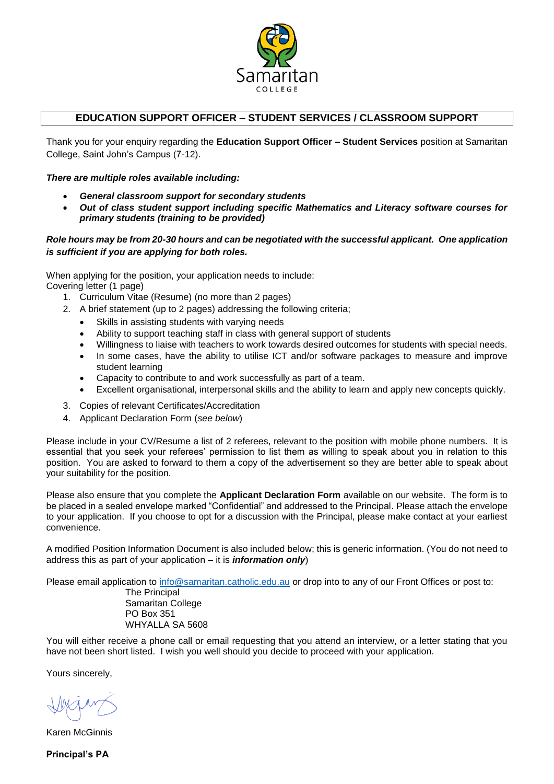

## **EDUCATION SUPPORT OFFICER – STUDENT SERVICES / CLASSROOM SUPPORT**

Thank you for your enquiry regarding the **Education Support Officer – Student Services** position at Samaritan College, Saint John's Campus (7-12).

#### *There are multiple roles available including:*

- *General classroom support for secondary students*
- *Out of class student support including specific Mathematics and Literacy software courses for primary students (training to be provided)*

#### *Role hours may be from 20-30 hours and can be negotiated with the successful applicant. One application is sufficient if you are applying for both roles.*

When applying for the position, your application needs to include: Covering letter (1 page)

- 1. Curriculum Vitae (Resume) (no more than 2 pages)
- 2. A brief statement (up to 2 pages) addressing the following criteria;
	- Skills in assisting students with varying needs
	- Ability to support teaching staff in class with general support of students
	- Willingness to liaise with teachers to work towards desired outcomes for students with special needs.
	- In some cases, have the ability to utilise ICT and/or software packages to measure and improve student learning
	- Capacity to contribute to and work successfully as part of a team.
	- Excellent organisational, interpersonal skills and the ability to learn and apply new concepts quickly.
- 3. Copies of relevant Certificates/Accreditation
- 4. Applicant Declaration Form (*see below*)

Please include in your CV/Resume a list of 2 referees, relevant to the position with mobile phone numbers. It is essential that you seek your referees' permission to list them as willing to speak about you in relation to this position. You are asked to forward to them a copy of the advertisement so they are better able to speak about your suitability for the position.

Please also ensure that you complete the **Applicant Declaration Form** available on our website. The form is to be placed in a sealed envelope marked "Confidential" and addressed to the Principal. Please attach the envelope to your application. If you choose to opt for a discussion with the Principal, please make contact at your earliest convenience.

A modified Position Information Document is also included below; this is generic information. (You do not need to address this as part of your application – it is *information only*)

Please email application to [info@samaritan.catholic.edu.au](mailto:info@samaritan.catholic.edu.au) or drop into to any of our Front Offices or post to:

The Principal Samaritan College PO Box 351 WHYALLA SA 5608

You will either receive a phone call or email requesting that you attend an interview, or a letter stating that you have not been short listed. I wish you well should you decide to proceed with your application.

Yours sincerely,

Karen McGinnis

**Principal's PA**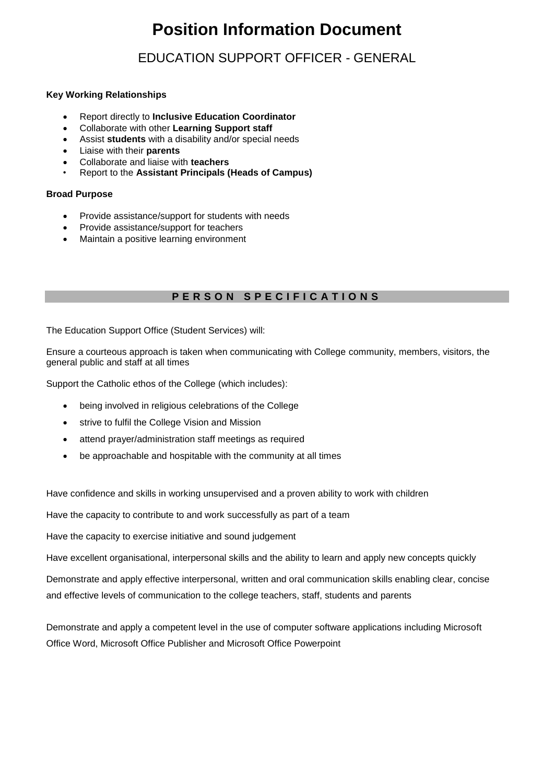# **Position Information Document**

# EDUCATION SUPPORT OFFICER - GENERAL

#### **Key Working Relationships**

- Report directly to **Inclusive Education Coordinator**
- Collaborate with other **Learning Support staff**
- Assist **students** with a disability and/or special needs
- Liaise with their **parents**
- Collaborate and liaise with **teachers**
- Report to the **Assistant Principals (Heads of Campus)**

#### **Broad Purpose**

- Provide assistance/support for students with needs
- Provide assistance/support for teachers
- Maintain a positive learning environment

# **P E R S O N S P E C I F I C A T I O N S**

The Education Support Office (Student Services) will:

Ensure a courteous approach is taken when communicating with College community, members, visitors, the general public and staff at all times

Support the Catholic ethos of the College (which includes):

- being involved in religious celebrations of the College
- strive to fulfil the College Vision and Mission
- attend prayer/administration staff meetings as required
- be approachable and hospitable with the community at all times

Have confidence and skills in working unsupervised and a proven ability to work with children

Have the capacity to contribute to and work successfully as part of a team

Have the capacity to exercise initiative and sound judgement

Have excellent organisational, interpersonal skills and the ability to learn and apply new concepts quickly

Demonstrate and apply effective interpersonal, written and oral communication skills enabling clear, concise and effective levels of communication to the college teachers, staff, students and parents

Demonstrate and apply a competent level in the use of computer software applications including Microsoft Office Word, Microsoft Office Publisher and Microsoft Office Powerpoint